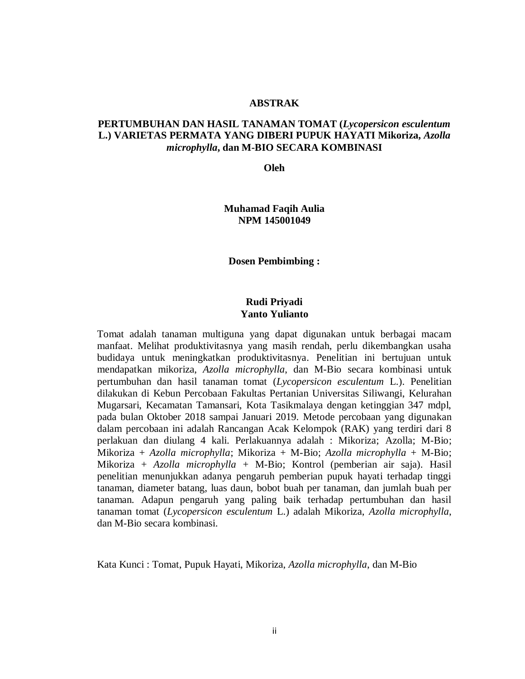#### **ABSTRAK**

# **PERTUMBUHAN DAN HASIL TANAMAN TOMAT (***Lycopersicon esculentum*  **L.) VARIETAS PERMATA YANG DIBERI PUPUK HAYATI Mikoriza,** *Azolla microphylla***, dan M-BIO SECARA KOMBINASI**

**Oleh**

**Muhamad Faqih Aulia NPM 145001049**

**Dosen Pembimbing :**

# **Rudi Priyadi Yanto Yulianto**

Tomat adalah tanaman multiguna yang dapat digunakan untuk berbagai macam manfaat. Melihat produktivitasnya yang masih rendah, perlu dikembangkan usaha budidaya untuk meningkatkan produktivitasnya. Penelitian ini bertujuan untuk mendapatkan mikoriza, *Azolla microphylla*, dan M-Bio secara kombinasi untuk pertumbuhan dan hasil tanaman tomat (*Lycopersicon esculentum* L.). Penelitian dilakukan di Kebun Percobaan Fakultas Pertanian Universitas Siliwangi, Kelurahan Mugarsari, Kecamatan Tamansari, Kota Tasikmalaya dengan ketinggian 347 mdpl, pada bulan Oktober 2018 sampai Januari 2019. Metode percobaan yang digunakan dalam percobaan ini adalah Rancangan Acak Kelompok (RAK) yang terdiri dari 8 perlakuan dan diulang 4 kali. Perlakuannya adalah : Mikoriza; Azolla; M-Bio; Mikoriza + *Azolla microphylla*; Mikoriza + M-Bio; *Azolla microphylla* + M-Bio; Mikoriza + *Azolla microphylla* + M-Bio; Kontrol (pemberian air saja). Hasil penelitian menunjukkan adanya pengaruh pemberian pupuk hayati terhadap tinggi tanaman, diameter batang, luas daun, bobot buah per tanaman, dan jumlah buah per tanaman. Adapun pengaruh yang paling baik terhadap pertumbuhan dan hasil tanaman tomat (*Lycopersicon esculentum* L.) adalah Mikoriza, *Azolla microphylla*, dan M-Bio secara kombinasi.

Kata Kunci : Tomat, Pupuk Hayati, Mikoriza, *Azolla microphylla*, dan M-Bio